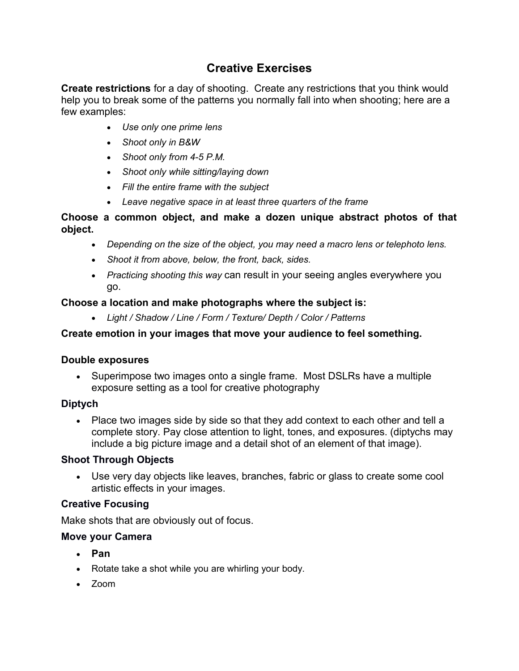# **Creative Exercises**

**Create restrictions** for a day of shooting. Create any restrictions that you think would help you to break some of the patterns you normally fall into when shooting; here are a few examples:

- *Use only one prime lens*
- *Shoot only in B&W*
- *Shoot only from 4-5 P.M.*
- *Shoot only while sitting/laying down*
- *Fill the entire frame with the subject*
- *Leave negative space in at least three quarters of the frame*

#### **Choose a common object, and make a dozen unique abstract photos of that object.**

- *Depending on the size of the object, you may need a macro lens or telephoto lens.*
- *Shoot it from above, below, the front, back, sides.*
- *Practicing shooting this way* can result in your seeing angles everywhere you go.

## **Choose a location and make photographs where the subject is:**

*Light / Shadow / Line / Form / Texture/ Depth / Color / Patterns*

## **Create emotion in your images that move your audience to feel something.**

#### **Double exposures**

• Superimpose two images onto a single frame. Most DSLRs have a multiple exposure setting as a tool for creative photography

# **Diptych**

• Place two images side by side so that they add context to each other and tell a complete story. Pay close attention to light, tones, and exposures. (diptychs may include a big picture image and a detail shot of an element of that image).

#### **Shoot Through Objects**

 Use very day objects like leaves, branches, fabric or glass to create some cool artistic effects in your images.

#### **Creative Focusing**

Make shots that are obviously out of focus.

#### **Move your Camera**

- **Pan**
- Rotate take a shot while you are whirling your body.
- Zoom